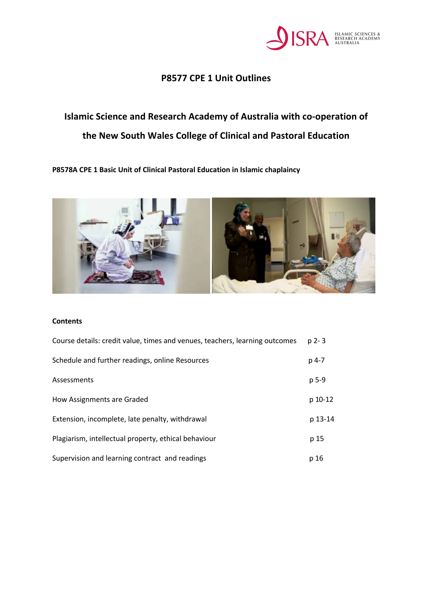

## **P8577 CPE 1 Unit Outlines**

# **Islamic Science and Research Academy of Australia with co-operation of the New South Wales College of Clinical and Pastoral Education**

**P8578A CPE 1 Basic Unit of Clinical Pastoral Education in Islamic chaplaincy** 



#### **Contents**

| Course details: credit value, times and venues, teachers, learning outcomes | $p$ 2-3 |
|-----------------------------------------------------------------------------|---------|
| Schedule and further readings, online Resources                             | $p$ 4-7 |
| Assessments                                                                 | p 5-9   |
| How Assignments are Graded                                                  | p 10-12 |
| Extension, incomplete, late penalty, withdrawal                             | p 13-14 |
| Plagiarism, intellectual property, ethical behaviour                        | p 15    |
| Supervision and learning contract and readings                              | p 16    |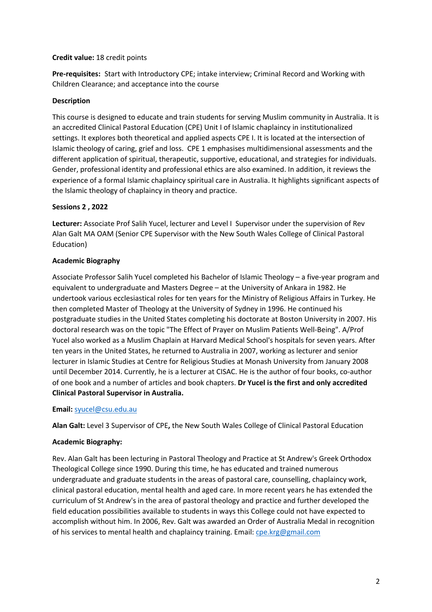## **Credit value:** 18 credit points

**Pre-requisites:** Start with Introductory CPE; intake interview; Criminal Record and Working with Children Clearance; and acceptance into the course

## **Description**

This course is designed to educate and train students for serving Muslim community in Australia. It is an accredited Clinical Pastoral Education (CPE) Unit I of Islamic chaplaincy in institutionalized settings. It explores both theoretical and applied aspects CPE I. It is located at the intersection of Islamic theology of caring, grief and loss. CPE 1 emphasises multidimensional assessments and the different application of spiritual, therapeutic, supportive, educational, and strategies for individuals. Gender, professional identity and professional ethics are also examined. In addition, it reviews the experience of a formal Islamic chaplaincy spiritual care in Australia. It highlights significant aspects of the Islamic theology of chaplaincy in theory and practice.

#### **Sessions 2 , 2022**

**Lecturer:** Associate Prof Salih Yucel, lecturer and Level I Supervisor under the supervision of Rev Alan Galt MA OAM (Senior CPE Supervisor with the New South Wales College of Clinical Pastoral Education)

## **Academic Biography**

Associate Professor Salih Yucel completed his Bachelor of Islamic Theology – a five-year program and equivalent to undergraduate and Masters Degree – at the University of Ankara in 1982. He undertook various ecclesiastical roles for ten years for the Ministry of Religious Affairs in Turkey. He then completed Master of Theology at the University of Sydney in 1996. He continued his postgraduate studies in the United States completing his doctorate at Boston University in 2007. His doctoral research was on the topic "The Effect of Prayer on Muslim Patients Well-Being". A/Prof Yucel also worked as a Muslim Chaplain at Harvard Medical School's hospitals for seven years. After ten years in the United States, he returned to Australia in 2007, working as lecturer and senior lecturer in Islamic Studies at Centre for Religious Studies at Monash University from January 2008 until December 2014. Currently, he is a lecturer at CISAC. He is the author of four books, co-author of one book and a number of articles and book chapters. **Dr Yucel is the first and only accredited Clinical Pastoral Supervisor in Australia.** 

#### **Email:** syucel@csu.edu.au

**Alan Galt:** Level 3 Supervisor of CPE**,** the New South Wales College of Clinical Pastoral Education

## **Academic Biography:**

Rev. Alan Galt has been lecturing in Pastoral Theology and Practice at St Andrew's Greek Orthodox Theological College since 1990. During this time, he has educated and trained numerous undergraduate and graduate students in the areas of pastoral care, counselling, chaplaincy work, clinical pastoral education, mental health and aged care. In more recent years he has extended the curriculum of St Andrew's in the area of pastoral theology and practice and further developed the field education possibilities available to students in ways this College could not have expected to accomplish without him. In 2006, Rev. Galt was awarded an Order of Australia Medal in recognition of his services to mental health and chaplaincy training. Email: cpe.krg@gmail.com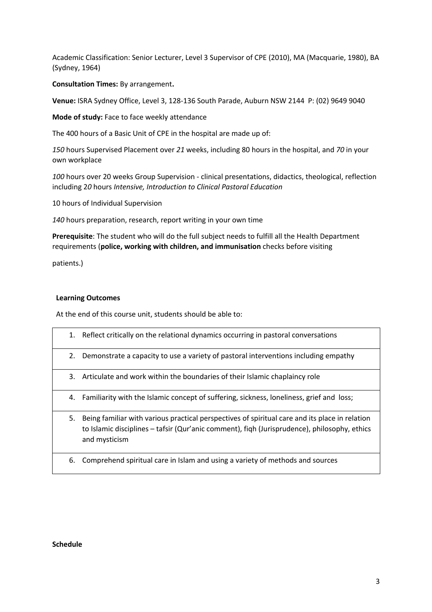Academic Classification: Senior Lecturer, Level 3 Supervisor of CPE (2010), MA (Macquarie, 1980), BA (Sydney, 1964)

**Consultation Times:** By arrangement**.**

**Venue:** ISRA Sydney Office, Level 3, 128-136 South Parade, Auburn NSW 2144 P: (02) 9649 9040

**Mode of study:** Face to face weekly attendance

The 400 hours of a Basic Unit of CPE in the hospital are made up of:

*150* hours Supervised Placement over *21* weeks, including 80 hours in the hospital, and *70* in your own workplace

*100* hours over 20 weeks Group Supervision - clinical presentations, didactics, theological, reflection including 2*0* hours *Intensive, Introduction to Clinical Pastoral Education*

10 hours of Individual Supervision

*140* hours preparation, research, report writing in your own time

**Prerequisite**: The student who will do the full subject needs to fulfill all the Health Department requirements (**police, working with children, and immunisation** checks before visiting

patients.)

#### **Learning Outcomes**

At the end of this course unit, students should be able to:

|    | 1. Reflect critically on the relational dynamics occurring in pastoral conversations                                                                                                                            |
|----|-----------------------------------------------------------------------------------------------------------------------------------------------------------------------------------------------------------------|
| 2. | Demonstrate a capacity to use a variety of pastoral interventions including empathy                                                                                                                             |
| 3. | Articulate and work within the boundaries of their Islamic chaplaincy role                                                                                                                                      |
|    | 4. Familiarity with the Islamic concept of suffering, sickness, loneliness, grief and loss;                                                                                                                     |
| 5. | Being familiar with various practical perspectives of spiritual care and its place in relation<br>to Islamic disciplines – tafsir (Qur'anic comment), figh (Jurisprudence), philosophy, ethics<br>and mysticism |
| 6. | Comprehend spiritual care in Islam and using a variety of methods and sources                                                                                                                                   |

#### **Schedule**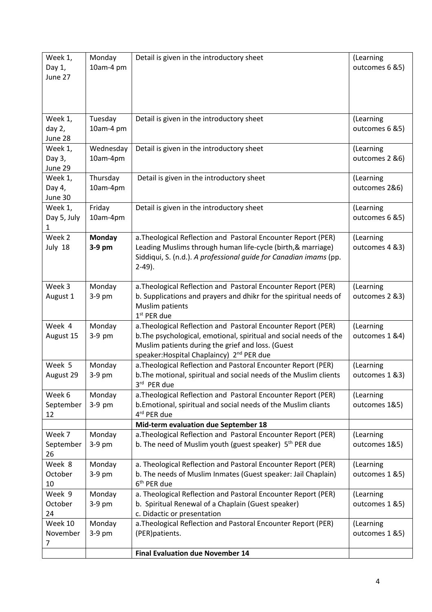| Week 1,<br>Day 1,<br>June 27 | Monday<br>10am-4 pm     | Detail is given in the introductory sheet                                                                                                                                                                                                         | (Learning<br>outcomes 6 & 5) |
|------------------------------|-------------------------|---------------------------------------------------------------------------------------------------------------------------------------------------------------------------------------------------------------------------------------------------|------------------------------|
| Week 1,<br>day 2,<br>June 28 | Tuesday<br>10am-4 pm    | Detail is given in the introductory sheet                                                                                                                                                                                                         | (Learning<br>outcomes 6 & 5) |
| Week 1,<br>Day 3,<br>June 29 | Wednesday<br>10am-4pm   | Detail is given in the introductory sheet                                                                                                                                                                                                         | (Learning<br>outcomes 2 &6)  |
| Week 1,<br>Day 4,<br>June 30 | Thursday<br>10am-4pm    | Detail is given in the introductory sheet                                                                                                                                                                                                         | (Learning<br>outcomes 2&6)   |
| Week 1,<br>Day 5, July<br>1  | Friday<br>10am-4pm      | Detail is given in the introductory sheet                                                                                                                                                                                                         | (Learning<br>outcomes 6 & 5) |
| Week 2<br>July 18            | <b>Monday</b><br>3-9 pm | a. Theological Reflection and Pastoral Encounter Report (PER)<br>Leading Muslims through human life-cycle (birth, & marriage)<br>Siddiqui, S. (n.d.). A professional guide for Canadian imams (pp.<br>$2-49$ ).                                   | (Learning<br>outcomes 4 &3)  |
| Week 3<br>August 1           | Monday<br>3-9 pm        | a. Theological Reflection and Pastoral Encounter Report (PER)<br>b. Supplications and prayers and dhikr for the spiritual needs of<br>Muslim patients<br>$1st$ PER due                                                                            | (Learning<br>outcomes 2 &3)  |
| Week 4<br>August 15          | Monday<br>3-9 pm        | a. Theological Reflection and Pastoral Encounter Report (PER)<br>b. The psychological, emotional, spiritual and social needs of the<br>Muslim patients during the grief and loss. (Guest<br>speaker: Hospital Chaplaincy) 2 <sup>nd</sup> PER due | (Learning<br>outcomes 1 &4)  |
| Week 5<br>August 29          | Monday<br>$3-9$ pm      | a. Theological Reflection and Pastoral Encounter Report (PER)<br>b. The motional, spiritual and social needs of the Muslim clients<br>3rd PER due                                                                                                 | (Learning<br>outcomes 1 &3)  |
| Week 6<br>September<br>12    | Monday<br>3-9 pm        | a. Theological Reflection and Pastoral Encounter Report (PER)<br>b. Emotional, spiritual and social needs of the Muslim cliants<br>4rd PER due                                                                                                    | (Learning<br>outcomes 1&5)   |
|                              |                         | Mid-term evaluation due September 18                                                                                                                                                                                                              |                              |
| Week 7<br>September<br>26    | Monday<br>3-9 pm        | a. Theological Reflection and Pastoral Encounter Report (PER)<br>b. The need of Muslim youth (guest speaker) 5 <sup>th</sup> PER due                                                                                                              | (Learning<br>outcomes 1&5)   |
| Week 8<br>October<br>10      | Monday<br>3-9 pm        | a. Theological Reflection and Pastoral Encounter Report (PER)<br>b. The needs of Muslim Inmates (Guest speaker: Jail Chaplain)<br>6 <sup>th</sup> PER due                                                                                         | (Learning<br>outcomes 1 &5)  |
| Week 9<br>October<br>24      | Monday<br>3-9 pm        | a. Theological Reflection and Pastoral Encounter Report (PER)<br>b. Spiritual Renewal of a Chaplain (Guest speaker)<br>c. Didactic or presentation                                                                                                | (Learning<br>outcomes 1 &5)  |
| Week 10<br>November<br>7     | Monday<br>3-9 pm        | a. Theological Reflection and Pastoral Encounter Report (PER)<br>(PER)patients.                                                                                                                                                                   | (Learning<br>outcomes 1 &5)  |
|                              |                         | <b>Final Evaluation due November 14</b>                                                                                                                                                                                                           |                              |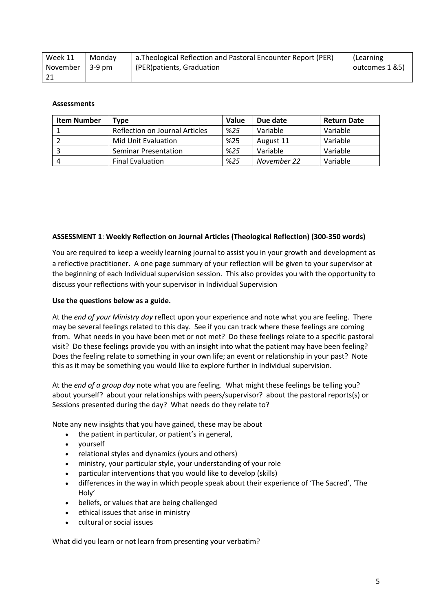| Week 11  | Mondav | a. Theological Reflection and Pastoral Encounter Report (PER) | (Learning      |
|----------|--------|---------------------------------------------------------------|----------------|
| November | 3-9 pm | I (PER)patients, Graduation                                   | outcomes 1 &5) |
|          |        |                                                               |                |

#### **Assessments**

| <b>Item Number</b> | Type :                         | <b>Value</b> | Due date    | <b>Return Date</b> |
|--------------------|--------------------------------|--------------|-------------|--------------------|
|                    | Reflection on Journal Articles | %25          | Variable    | Variable           |
|                    | Mid Unit Evaluation            | %25          | August 11   | Variable           |
|                    | <b>Seminar Presentation</b>    | %25          | Variable    | Variable           |
|                    | <b>Final Evaluation</b>        | %25          | November 22 | Variable           |

#### **ASSESSMENT 1**: **Weekly Reflection on Journal Articles (Theological Reflection) (300-350 words)**

You are required to keep a weekly learning journal to assist you in your growth and development as a reflective practitioner. A one page summary of your reflection will be given to your supervisor at the beginning of each Individual supervision session. This also provides you with the opportunity to discuss your reflections with your supervisor in Individual Supervision

#### **Use the questions below as a guide.**

At the *end of your Ministry day* reflect upon your experience and note what you are feeling. There may be several feelings related to this day. See if you can track where these feelings are coming from. What needs in you have been met or not met? Do these feelings relate to a specific pastoral visit? Do these feelings provide you with an insight into what the patient may have been feeling? Does the feeling relate to something in your own life; an event or relationship in your past? Note this as it may be something you would like to explore further in individual supervision.

At the *end of a group day* note what you are feeling. What might these feelings be telling you? about yourself? about your relationships with peers/supervisor? about the pastoral reports(s) or Sessions presented during the day? What needs do they relate to?

Note any new insights that you have gained, these may be about

- the patient in particular, or patient's in general,
- yourself
- relational styles and dynamics (yours and others)
- ministry, your particular style, your understanding of your role
- particular interventions that you would like to develop (skills)
- differences in the way in which people speak about their experience of 'The Sacred', 'The Holy'
- beliefs, or values that are being challenged
- ethical issues that arise in ministry
- cultural or social issues

What did you learn or not learn from presenting your verbatim?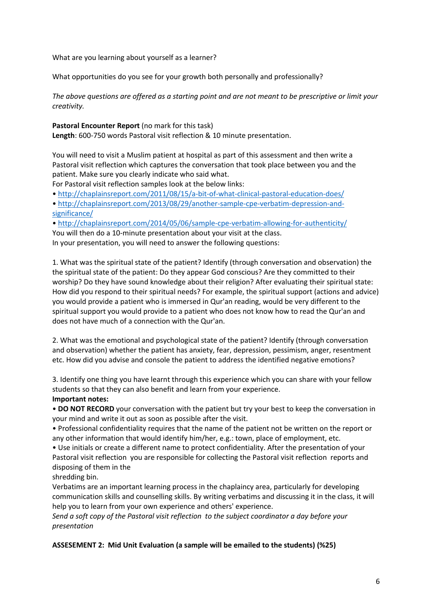What are you learning about yourself as a learner?

What opportunities do you see for your growth both personally and professionally?

*The above questions are offered as a starting point and are not meant to be prescriptive or limit your creativity.* 

**Pastoral Encounter Report** (no mark for this task) **Length**: 600-750 words Pastoral visit reflection & 10 minute presentation.

You will need to visit a Muslim patient at hospital as part of this assessment and then write a Pastoral visit reflection which captures the conversation that took place between you and the patient. Make sure you clearly indicate who said what.

For Pastoral visit reflection samples look at the below links:

- http://chaplainsreport.com/2011/08/15/a-bit-of-what-clinical-pastoral-education-does/
- http://chaplainsreport.com/2013/08/29/another-sample-cpe-verbatim-depression-andsignificance/

• http://chaplainsreport.com/2014/05/06/sample-cpe-verbatim-allowing-for-authenticity/ You will then do a 10-minute presentation about your visit at the class. In your presentation, you will need to answer the following questions:

1. What was the spiritual state of the patient? Identify (through conversation and observation) the the spiritual state of the patient: Do they appear God conscious? Are they committed to their worship? Do they have sound knowledge about their religion? After evaluating their spiritual state: How did you respond to their spiritual needs? For example, the spiritual support (actions and advice) you would provide a patient who is immersed in Qur'an reading, would be very different to the spiritual support you would provide to a patient who does not know how to read the Qur'an and does not have much of a connection with the Qur'an.

2. What was the emotional and psychological state of the patient? Identify (through conversation and observation) whether the patient has anxiety, fear, depression, pessimism, anger, resentment etc. How did you advise and console the patient to address the identified negative emotions?

3. Identify one thing you have learnt through this experience which you can share with your fellow students so that they can also benefit and learn from your experience. **Important notes:**

• **DO NOT RECORD** your conversation with the patient but try your best to keep the conversation in your mind and write it out as soon as possible after the visit.

• Professional confidentiality requires that the name of the patient not be written on the report or any other information that would identify him/her, e.g.: town, place of employment, etc.

• Use initials or create a different name to protect confidentiality. After the presentation of your Pastoral visit reflection you are responsible for collecting the Pastoral visit reflection reports and disposing of them in the

shredding bin.

Verbatims are an important learning process in the chaplaincy area, particularly for developing communication skills and counselling skills. By writing verbatims and discussing it in the class, it will help you to learn from your own experience and others' experience.

*Send a soft copy of the Pastoral visit reflection to the subject coordinator a day before your presentation*

## **ASSESEMENT 2: Mid Unit Evaluation (a sample will be emailed to the students) (%25)**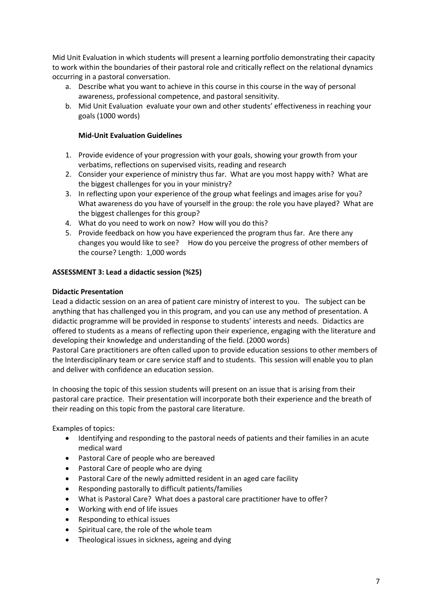Mid Unit Evaluation in which students will present a learning portfolio demonstrating their capacity to work within the boundaries of their pastoral role and critically reflect on the relational dynamics occurring in a pastoral conversation.

- a. Describe what you want to achieve in this course in this course in the way of personal awareness, professional competence, and pastoral sensitivity.
- b. Mid Unit Evaluation evaluate your own and other students' effectiveness in reaching your goals (1000 words)

## **Mid-Unit Evaluation Guidelines**

- 1. Provide evidence of your progression with your goals, showing your growth from your verbatims, reflections on supervised visits, reading and research
- 2. Consider your experience of ministry thus far. What are you most happy with? What are the biggest challenges for you in your ministry?
- 3. In reflecting upon your experience of the group what feelings and images arise for you? What awareness do you have of yourself in the group: the role you have played? What are the biggest challenges for this group?
- 4. What do you need to work on now? How will you do this?
- 5. Provide feedback on how you have experienced the program thus far. Are there any changes you would like to see? How do you perceive the progress of other members of the course? Length: 1,000 words

## **ASSESSMENT 3: Lead a didactic session (%25)**

## **Didactic Presentation**

Lead a didactic session on an area of patient care ministry of interest to you. The subject can be anything that has challenged you in this program, and you can use any method of presentation. A didactic programme will be provided in response to students' interests and needs. Didactics are offered to students as a means of reflecting upon their experience, engaging with the literature and developing their knowledge and understanding of the field. (2000 words)

Pastoral Care practitioners are often called upon to provide education sessions to other members of the Interdisciplinary team or care service staff and to students. This session will enable you to plan and deliver with confidence an education session.

In choosing the topic of this session students will present on an issue that is arising from their pastoral care practice. Their presentation will incorporate both their experience and the breath of their reading on this topic from the pastoral care literature.

Examples of topics:

- Identifying and responding to the pastoral needs of patients and their families in an acute medical ward
- Pastoral Care of people who are bereaved
- Pastoral Care of people who are dying
- Pastoral Care of the newly admitted resident in an aged care facility
- Responding pastorally to difficult patients/families
- What is Pastoral Care? What does a pastoral care practitioner have to offer?
- Working with end of life issues
- Responding to ethical issues
- Spiritual care, the role of the whole team
- Theological issues in sickness, ageing and dying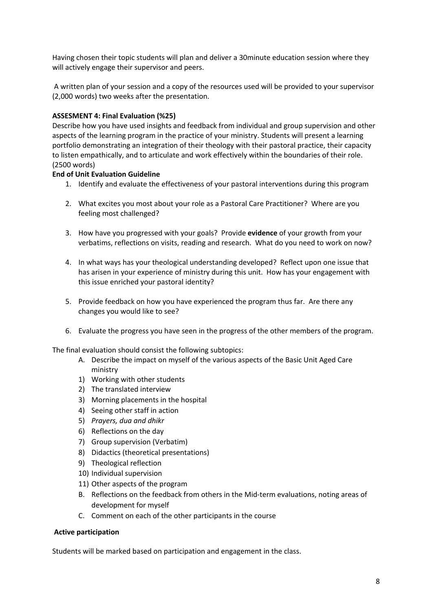Having chosen their topic students will plan and deliver a 30minute education session where they will actively engage their supervisor and peers.

A written plan of your session and a copy of the resources used will be provided to your supervisor (2,000 words) two weeks after the presentation.

## **ASSESMENT 4: Final Evaluation (%25)**

Describe how you have used insights and feedback from individual and group supervision and other aspects of the learning program in the practice of your ministry. Students will present a learning portfolio demonstrating an integration of their theology with their pastoral practice, their capacity to listen empathically, and to articulate and work effectively within the boundaries of their role. (2500 words)

## **End of Unit Evaluation Guideline**

- 1. Identify and evaluate the effectiveness of your pastoral interventions during this program
- 2. What excites you most about your role as a Pastoral Care Practitioner? Where are you feeling most challenged?
- 3. How have you progressed with your goals? Provide **evidence** of your growth from your verbatims, reflections on visits, reading and research. What do you need to work on now?
- 4. In what ways has your theological understanding developed? Reflect upon one issue that has arisen in your experience of ministry during this unit. How has your engagement with this issue enriched your pastoral identity?
- 5. Provide feedback on how you have experienced the program thus far. Are there any changes you would like to see?
- 6. Evaluate the progress you have seen in the progress of the other members of the program.

The final evaluation should consist the following subtopics:

- A. Describe the impact on myself of the various aspects of the Basic Unit Aged Care ministry
- 1) Working with other students
- 2) The translated interview
- 3) Morning placements in the hospital
- 4) Seeing other staff in action
- 5) *Prayers, dua and dhikr*
- 6) Reflections on the day
- 7) Group supervision (Verbatim)
- 8) Didactics (theoretical presentations)
- 9) Theological reflection
- 10) Individual supervision
- 11) Other aspects of the program
- B. Reflections on the feedback from others in the Mid-term evaluations, noting areas of development for myself
- C. Comment on each of the other participants in the course

#### **Active participation**

Students will be marked based on participation and engagement in the class.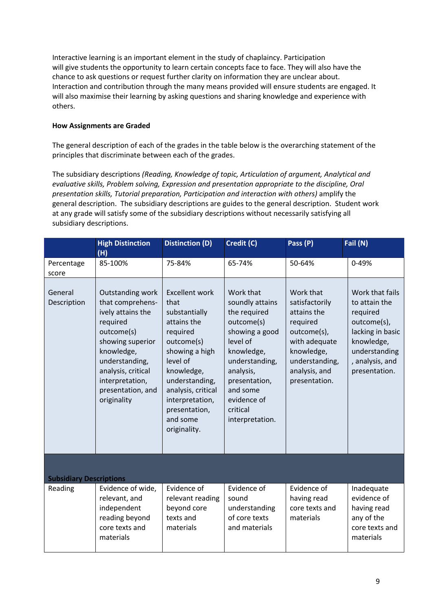Interactive learning is an important element in the study of chaplaincy. Participation will give students the opportunity to learn certain concepts face to face. They will also have the chance to ask questions or request further clarity on information they are unclear about. Interaction and contribution through the many means provided will ensure students are engaged. It will also maximise their learning by asking questions and sharing knowledge and experience with others.

## **How Assignments are Graded**

The general description of each of the grades in the table below is the overarching statement of the principles that discriminate between each of the grades.

The subsidiary descriptions *(Reading, Knowledge of topic, Articulation of argument, Analytical and evaluative skills, Problem solving, Expression and presentation appropriate to the discipline, Oral presentation skills, Tutorial preparation, Participation and interaction with others)* amplify the general description. The subsidiary descriptions are guides to the general description. Student work at any grade will satisfy some of the subsidiary descriptions without necessarily satisfying all subsidiary descriptions.

|                                | <b>High Distinction</b><br>(H)                                                                                                                                                                                       | <b>Distinction (D)</b>                                                                                                                                                                                                                      | Credit (C)                                                                                                                                                                                                       | Pass (P)                                                                                                                                                 | Fail (N)                                                                                                                                           |
|--------------------------------|----------------------------------------------------------------------------------------------------------------------------------------------------------------------------------------------------------------------|---------------------------------------------------------------------------------------------------------------------------------------------------------------------------------------------------------------------------------------------|------------------------------------------------------------------------------------------------------------------------------------------------------------------------------------------------------------------|----------------------------------------------------------------------------------------------------------------------------------------------------------|----------------------------------------------------------------------------------------------------------------------------------------------------|
| Percentage<br>score            | 85-100%                                                                                                                                                                                                              | 75-84%                                                                                                                                                                                                                                      | 65-74%                                                                                                                                                                                                           | 50-64%                                                                                                                                                   | 0-49%                                                                                                                                              |
| General<br>Description         | Outstanding work<br>that comprehens-<br>ively attains the<br>required<br>outcome(s)<br>showing superior<br>knowledge,<br>understanding,<br>analysis, critical<br>interpretation,<br>presentation, and<br>originality | <b>Excellent work</b><br>that<br>substantially<br>attains the<br>required<br>outcome(s)<br>showing a high<br>level of<br>knowledge,<br>understanding,<br>analysis, critical<br>interpretation,<br>presentation,<br>and some<br>originality. | Work that<br>soundly attains<br>the required<br>outcome(s)<br>showing a good<br>level of<br>knowledge,<br>understanding,<br>analysis,<br>presentation,<br>and some<br>evidence of<br>critical<br>interpretation. | Work that<br>satisfactorily<br>attains the<br>required<br>outcome(s),<br>with adequate<br>knowledge,<br>understanding,<br>analysis, and<br>presentation. | Work that fails<br>to attain the<br>required<br>outcome(s),<br>lacking in basic<br>knowledge,<br>understanding<br>, analysis, and<br>presentation. |
| <b>Subsidiary Descriptions</b> |                                                                                                                                                                                                                      |                                                                                                                                                                                                                                             |                                                                                                                                                                                                                  |                                                                                                                                                          |                                                                                                                                                    |
| Reading                        | Evidence of wide,<br>relevant, and<br>independent<br>reading beyond<br>core texts and<br>materials                                                                                                                   | Evidence of<br>relevant reading<br>beyond core<br>texts and<br>materials                                                                                                                                                                    | Evidence of<br>sound<br>understanding<br>of core texts<br>and materials                                                                                                                                          | Evidence of<br>having read<br>core texts and<br>materials                                                                                                | Inadequate<br>evidence of<br>having read<br>any of the<br>core texts and<br>materials                                                              |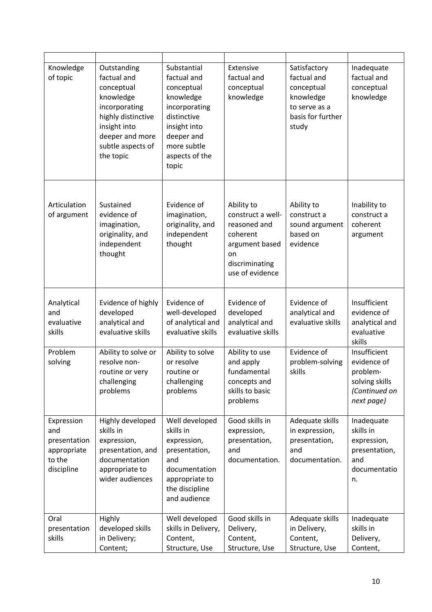| Knowledge<br>of topic                                                    | Outstanding<br>factual and<br>conceptual<br>knowledge<br>incorporating<br>highly distinctive<br>insight into<br>deeper and more<br>subtle aspects of<br>the topic | Substantial<br>factual and<br>conceptual<br>knowledge<br>incorporating<br>distinctive<br>insight into<br>deeper and<br>more subtle<br>aspects of the<br>topic | Extensive<br>factual and<br>conceptual<br>knowledge                                                                      | Satisfactory<br>factual and<br>conceptual<br>knowledge<br>to serve as a<br>basis for further<br>study | Inadequate<br>factual and<br>conceptual<br>knowledge                                     |
|--------------------------------------------------------------------------|-------------------------------------------------------------------------------------------------------------------------------------------------------------------|---------------------------------------------------------------------------------------------------------------------------------------------------------------|--------------------------------------------------------------------------------------------------------------------------|-------------------------------------------------------------------------------------------------------|------------------------------------------------------------------------------------------|
| Articulation<br>of argument                                              | Sustained<br>evidence of<br>imagination,<br>originality, and<br>independent<br>thought                                                                            | Evidence of<br>imagination,<br>originality, and<br>independent<br>thought                                                                                     | Ability to<br>construct a well-<br>reasoned and<br>coherent<br>argument based<br>on<br>discriminating<br>use of evidence | Ability to<br>construct a<br>sound argument<br>based on<br>evidence                                   | Inability to<br>construct a<br>coherent<br>argument                                      |
| Analytical<br>and<br>evaluative<br>skills                                | Evidence of highly<br>developed<br>analytical and<br>evaluative skills                                                                                            | Evidence of<br>well-developed<br>of analytical and<br>evaluative skills                                                                                       | Evidence of<br>developed<br>analytical and<br>evaluative skills                                                          | Evidence of<br>analytical and<br>evaluative skills                                                    | Insufficient<br>evidence of<br>analytical and<br>evaluative<br>skills                    |
| Problem<br>solving                                                       | Ability to solve or<br>resolve non-<br>routine or very<br>challenging<br>problems                                                                                 | Ability to solve<br>or resolve<br>routine or<br>challenging<br>problems                                                                                       | Ability to use<br>and apply<br>fundamental<br>concepts and<br>skills to basic<br>problems                                | Evidence of<br>problem-solving<br>skills                                                              | Insufficient<br>evidence of<br>problem-<br>solving skills<br>(Continued on<br>next page) |
| Expression<br>and<br>presentation<br>appropriate<br>to the<br>discipline | Highly developed<br>skills in<br>expression,<br>presentation, and<br>documentation<br>appropriate to<br>wider audiences                                           | Well developed<br>skills in<br>expression,<br>presentation,<br>and<br>documentation<br>appropriate to<br>the discipline<br>and audience                       | Good skills in<br>expression,<br>presentation,<br>and<br>documentation.                                                  | Adequate skills<br>in expression,<br>presentation,<br>and<br>documentation.                           | Inadequate<br>skills in<br>expression,<br>presentation,<br>and<br>documentatio<br>n.     |
| Oral<br>presentation<br>skills                                           | Highly<br>developed skills<br>in Delivery;<br>Content;                                                                                                            | Well developed<br>skills in Delivery,<br>Content,<br>Structure, Use                                                                                           | Good skills in<br>Delivery,<br>Content,<br>Structure, Use                                                                | Adequate skills<br>in Delivery,<br>Content,<br>Structure, Use                                         | Inadequate<br>skills in<br>Delivery,<br>Content,                                         |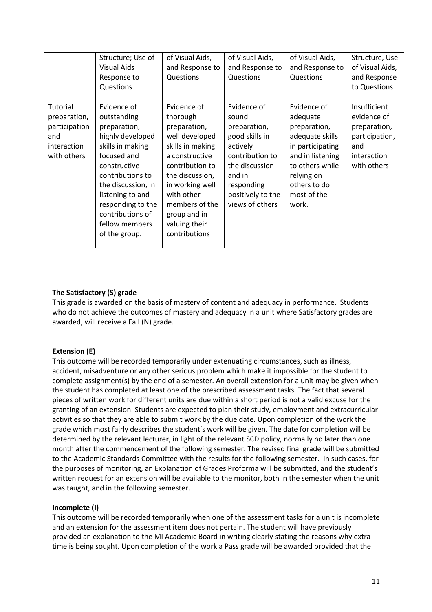|                                                                                | Structure; Use of<br>Visual Aids<br>Response to<br>Questions                                                                                                                                                                                                | of Visual Aids,<br>and Response to<br>Questions                                                                                                                                                                                            | of Visual Aids,<br>and Response to<br>Questions                                                                                                                         | of Visual Aids,<br>and Response to<br>Questions                                                                                                                             | Structure, Use<br>of Visual Aids,<br>and Response<br>to Questions                                  |
|--------------------------------------------------------------------------------|-------------------------------------------------------------------------------------------------------------------------------------------------------------------------------------------------------------------------------------------------------------|--------------------------------------------------------------------------------------------------------------------------------------------------------------------------------------------------------------------------------------------|-------------------------------------------------------------------------------------------------------------------------------------------------------------------------|-----------------------------------------------------------------------------------------------------------------------------------------------------------------------------|----------------------------------------------------------------------------------------------------|
| Tutorial<br>preparation,<br>participation<br>and<br>interaction<br>with others | Evidence of<br>outstanding<br>preparation,<br>highly developed<br>skills in making<br>focused and<br>constructive<br>contributions to<br>the discussion, in<br>listening to and<br>responding to the<br>contributions of<br>fellow members<br>of the group. | Evidence of<br>thorough<br>preparation,<br>well developed<br>skills in making<br>a constructive<br>contribution to<br>the discussion,<br>in working well<br>with other<br>members of the<br>group and in<br>valuing their<br>contributions | Evidence of<br>sound<br>preparation,<br>good skills in<br>actively<br>contribution to<br>the discussion<br>and in<br>responding<br>positively to the<br>views of others | Evidence of<br>adequate<br>preparation,<br>adequate skills<br>in participating<br>and in listening<br>to others while<br>relying on<br>others to do<br>most of the<br>work. | Insufficient<br>evidence of<br>preparation,<br>participation,<br>and<br>interaction<br>with others |

## **The Satisfactory (S) grade**

This grade is awarded on the basis of mastery of content and adequacy in performance. Students who do not achieve the outcomes of mastery and adequacy in a unit where Satisfactory grades are awarded, will receive a Fail (N) grade.

#### **Extension (E)**

This outcome will be recorded temporarily under extenuating circumstances, such as illness, accident, misadventure or any other serious problem which make it impossible for the student to complete assignment(s) by the end of a semester. An overall extension for a unit may be given when the student has completed at least one of the prescribed assessment tasks. The fact that several pieces of written work for different units are due within a short period is not a valid excuse for the granting of an extension. Students are expected to plan their study, employment and extracurricular activities so that they are able to submit work by the due date. Upon completion of the work the grade which most fairly describes the student's work will be given. The date for completion will be determined by the relevant lecturer, in light of the relevant SCD policy, normally no later than one month after the commencement of the following semester. The revised final grade will be submitted to the Academic Standards Committee with the results for the following semester. In such cases, for the purposes of monitoring, an Explanation of Grades Proforma will be submitted, and the student's written request for an extension will be available to the monitor, both in the semester when the unit was taught, and in the following semester.

#### **Incomplete (I)**

This outcome will be recorded temporarily when one of the assessment tasks for a unit is incomplete and an extension for the assessment item does not pertain. The student will have previously provided an explanation to the MI Academic Board in writing clearly stating the reasons why extra time is being sought. Upon completion of the work a Pass grade will be awarded provided that the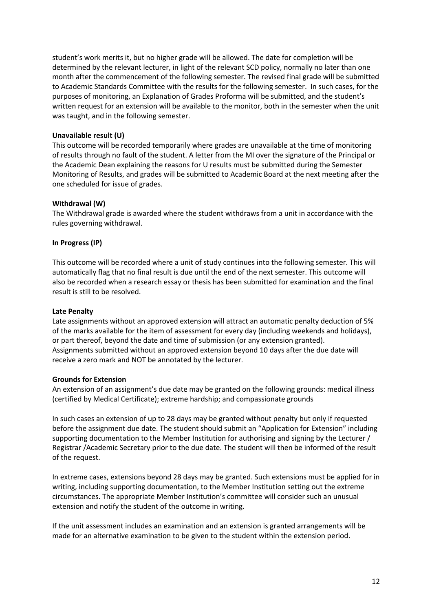student's work merits it, but no higher grade will be allowed. The date for completion will be determined by the relevant lecturer, in light of the relevant SCD policy, normally no later than one month after the commencement of the following semester. The revised final grade will be submitted to Academic Standards Committee with the results for the following semester. In such cases, for the purposes of monitoring, an Explanation of Grades Proforma will be submitted, and the student's written request for an extension will be available to the monitor, both in the semester when the unit was taught, and in the following semester.

## **Unavailable result (U)**

This outcome will be recorded temporarily where grades are unavailable at the time of monitoring of results through no fault of the student. A letter from the MI over the signature of the Principal or the Academic Dean explaining the reasons for U results must be submitted during the Semester Monitoring of Results, and grades will be submitted to Academic Board at the next meeting after the one scheduled for issue of grades.

#### **Withdrawal (W)**

The Withdrawal grade is awarded where the student withdraws from a unit in accordance with the rules governing withdrawal.

## **In Progress (IP)**

This outcome will be recorded where a unit of study continues into the following semester. This will automatically flag that no final result is due until the end of the next semester. This outcome will also be recorded when a research essay or thesis has been submitted for examination and the final result is still to be resolved.

#### **Late Penalty**

Late assignments without an approved extension will attract an automatic penalty deduction of 5% of the marks available for the item of assessment for every day (including weekends and holidays), or part thereof, beyond the date and time of submission (or any extension granted). Assignments submitted without an approved extension beyond 10 days after the due date will receive a zero mark and NOT be annotated by the lecturer.

#### **Grounds for Extension**

An extension of an assignment's due date may be granted on the following grounds: medical illness (certified by Medical Certificate); extreme hardship; and compassionate grounds

In such cases an extension of up to 28 days may be granted without penalty but only if requested before the assignment due date. The student should submit an "Application for Extension" including supporting documentation to the Member Institution for authorising and signing by the Lecturer / Registrar /Academic Secretary prior to the due date. The student will then be informed of the result of the request.

In extreme cases, extensions beyond 28 days may be granted. Such extensions must be applied for in writing, including supporting documentation, to the Member Institution setting out the extreme circumstances. The appropriate Member Institution's committee will consider such an unusual extension and notify the student of the outcome in writing.

If the unit assessment includes an examination and an extension is granted arrangements will be made for an alternative examination to be given to the student within the extension period.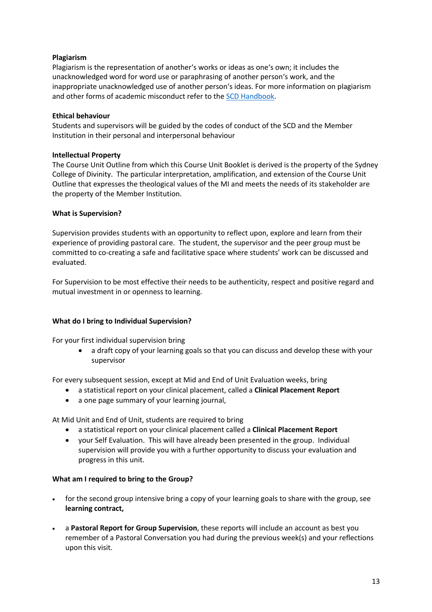## **Plagiarism**

Plagiarism is the representation of another's works or ideas as one's own; it includes the unacknowledged word for word use or paraphrasing of another person's work, and the inappropriate unacknowledged use of another person's ideas. For more information on plagiarism and other forms of academic misconduct refer to the SCD Handbook.

#### **Ethical behaviour**

Students and supervisors will be guided by the codes of conduct of the SCD and the Member Institution in their personal and interpersonal behaviour

## **Intellectual Property**

The Course Unit Outline from which this Course Unit Booklet is derived is the property of the Sydney College of Divinity. The particular interpretation, amplification, and extension of the Course Unit Outline that expresses the theological values of the MI and meets the needs of its stakeholder are the property of the Member Institution.

## **What is Supervision?**

Supervision provides students with an opportunity to reflect upon, explore and learn from their experience of providing pastoral care. The student, the supervisor and the peer group must be committed to co-creating a safe and facilitative space where students' work can be discussed and evaluated.

For Supervision to be most effective their needs to be authenticity, respect and positive regard and mutual investment in or openness to learning.

## **What do I bring to Individual Supervision?**

For your first individual supervision bring

• a draft copy of your learning goals so that you can discuss and develop these with your supervisor

For every subsequent session, except at Mid and End of Unit Evaluation weeks, bring

- a statistical report on your clinical placement, called a **Clinical Placement Report**
- a one page summary of your learning journal,

At Mid Unit and End of Unit, students are required to bring

- a statistical report on your clinical placement called a **Clinical Placement Report**
- your Self Evaluation. This will have already been presented in the group. Individual supervision will provide you with a further opportunity to discuss your evaluation and progress in this unit.

#### **What am I required to bring to the Group?**

- for the second group intensive bring a copy of your learning goals to share with the group, see **learning contract,**
- a **Pastoral Report for Group Supervision**, these reports will include an account as best you remember of a Pastoral Conversation you had during the previous week(s) and your reflections upon this visit.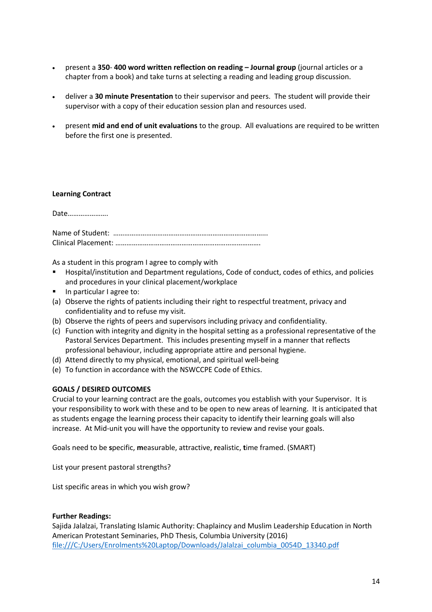- present a **350 400 word written reflection on reading – Journal group** (journal articles or a chapter from a book) and take turns at selecting a reading and leading group discussion.
- deliver a **30 minute Presentation** to their supervisor and peers. The student will provide their supervisor with a copy of their education session plan and resources used.
- present **mid and end of unit evaluations** to the group. All evaluations are required to be written before the first one is presented.

#### **Learning Contract**

Date………………….

As a student in this program I agree to comply with

- § Hospital/institution and Department regulations, Code of conduct, codes of ethics, and policies and procedures in your clinical placement/workplace
- In particular I agree to:
- (a) Observe the rights of patients including their right to respectful treatment, privacy and confidentiality and to refuse my visit.
- (b) Observe the rights of peers and supervisors including privacy and confidentiality.
- (c) Function with integrity and dignity in the hospital setting as a professional representative of the Pastoral Services Department. This includes presenting myself in a manner that reflects professional behaviour, including appropriate attire and personal hygiene.
- (d) Attend directly to my physical, emotional, and spiritual well-being
- (e) To function in accordance with the NSWCCPE Code of Ethics.

## **GOALS / DESIRED OUTCOMES**

Crucial to your learning contract are the goals, outcomes you establish with your Supervisor. It is your responsibility to work with these and to be open to new areas of learning. It is anticipated that as students engage the learning process their capacity to identify their learning goals will also increase. At Mid-unit you will have the opportunity to review and revise your goals.

Goals need to be **s**pecific, **m**easurable, attractive, **r**ealistic, **t**ime framed. (SMART)

List your present pastoral strengths?

List specific areas in which you wish grow?

#### **Further Readings:**

Sajida Jalalzai, Translating Islamic Authority: Chaplaincy and Muslim Leadership Education in North American Protestant Seminaries, PhD Thesis, Columbia University (2016) file:///C:/Users/Enrolments%20Laptop/Downloads/Jalalzai\_columbia\_0054D\_13340.pdf